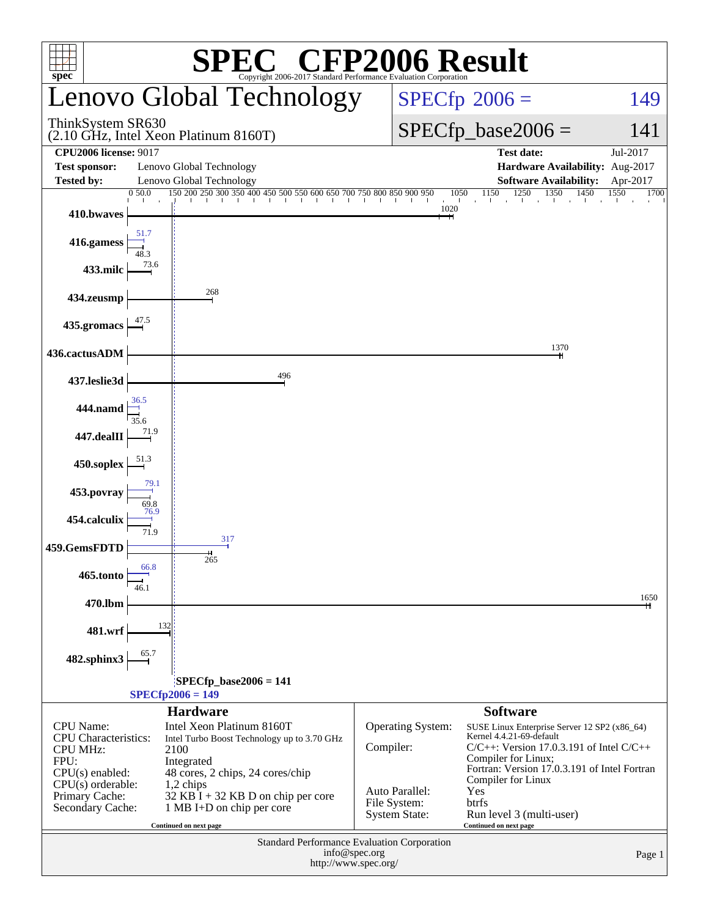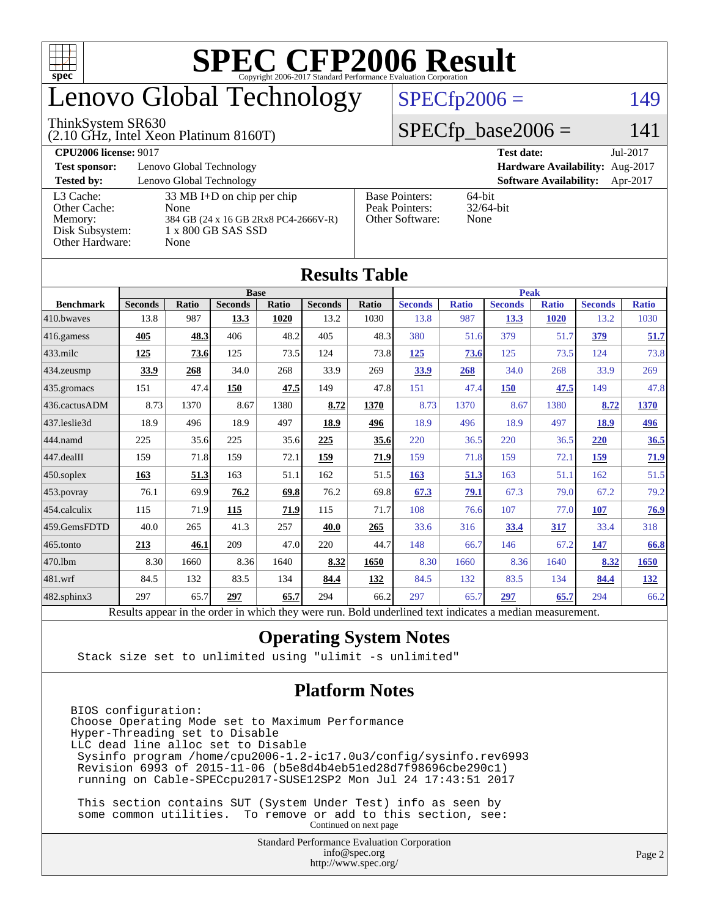

## enovo Global Technology

#### ThinkSystem SR630

(2.10 GHz, Intel Xeon Platinum 8160T)

 $SPECfp2006 = 149$  $SPECfp2006 = 149$ 

### $SPECfp\_base2006 = 141$

| <b>CPU2006 license: 9017</b> |                                              |                                   | Jul-2017<br><b>Test date:</b>             |  |  |  |
|------------------------------|----------------------------------------------|-----------------------------------|-------------------------------------------|--|--|--|
| <b>Test sponsor:</b>         | Lenovo Global Technology                     | Hardware Availability: Aug-2017   |                                           |  |  |  |
| <b>Tested by:</b>            | Lenovo Global Technology                     |                                   | <b>Software Availability:</b><br>Apr-2017 |  |  |  |
| L3 Cache:                    | $33 \text{ MB I+D}$ on chip per chip         | <b>Base Pointers:</b>             | 64-bit<br>$32/64$ -bit                    |  |  |  |
| Other Cache:<br>Memory:      | None<br>384 GB (24 x 16 GB 2Rx8 PC4-2666V-R) | Peak Pointers:<br>Other Software: | None                                      |  |  |  |
| Disk Subsystem:              | 1 x 800 GB SAS SSD                           |                                   |                                           |  |  |  |
| Other Hardware:              | None                                         |                                   |                                           |  |  |  |

|                        |                                                                                                          |              |                |       | Results Table  |       |                |              |                |              |                |              |
|------------------------|----------------------------------------------------------------------------------------------------------|--------------|----------------|-------|----------------|-------|----------------|--------------|----------------|--------------|----------------|--------------|
| <b>Base</b>            |                                                                                                          |              |                |       |                |       | <b>Peak</b>    |              |                |              |                |              |
| <b>Benchmark</b>       | <b>Seconds</b>                                                                                           | <b>Ratio</b> | <b>Seconds</b> | Ratio | <b>Seconds</b> | Ratio | <b>Seconds</b> | <b>Ratio</b> | <b>Seconds</b> | <b>Ratio</b> | <b>Seconds</b> | <b>Ratio</b> |
| 410.bwaves             | 13.8                                                                                                     | 987          | 13.3           | 1020  | 13.2           | 1030  | 13.8           | 987          | 13.3           | 1020         | 13.2           | 1030         |
| $416$ .gamess          | 405                                                                                                      | 48.3         | 406            | 48.2  | 405            | 48.3  | 380            | 51.6         | 379            | 51.7         | 379            | 51.7         |
| $433$ .milc            | 125                                                                                                      | 73.6         | 125            | 73.5  | 124            | 73.8  | 125            | 73.6         | 125            | 73.5         | 124            | 73.8         |
| 434.zeusmp             | 33.9                                                                                                     | 268          | 34.0           | 268   | 33.9           | 269   | <u>33.9</u>    | 268          | 34.0           | 268          | 33.9           | 269          |
| 435.gromacs            | 151                                                                                                      | 47.4         | 150            | 47.5  | 149            | 47.8  | 151            | 47.4         | 150            | 47.5         | 149            | 47.8         |
| 436.cactusADM          | 8.73                                                                                                     | 1370         | 8.67           | 1380  | 8.72           | 1370  | 8.73           | 1370         | 8.67           | 1380         | 8.72           | 1370         |
| 437.leslie3d           | 18.9                                                                                                     | 496          | 18.9           | 497   | 18.9           | 496   | 18.9           | 496          | 18.9           | 497          | 18.9           | 496          |
| 444.namd               | 225                                                                                                      | 35.6         | 225            | 35.6  | 225            | 35.6  | 220            | 36.5         | 220            | 36.5         | 220            | 36.5         |
| $ 447 \text{.}$ dealII | 159                                                                                                      | 71.8         | 159            | 72.1  | <u>159</u>     | 71.9  | 159            | 71.8         | 159            | 72.1         | 159            | 71.9         |
| $450$ .soplex          | 163                                                                                                      | 51.3         | 163            | 51.1  | 162            | 51.5  | 163            | 51.3         | 163            | 51.1         | 162            | 51.5         |
| 453.povray             | 76.1                                                                                                     | 69.9         | 76.2           | 69.8  | 76.2           | 69.8  | 67.3           | 79.1         | 67.3           | 79.0         | 67.2           | 79.2         |
| $ 454$ .calculix       | 115                                                                                                      | 71.9         | <b>115</b>     | 71.9  | 115            | 71.7  | 108            | 76.6         | 107            | 77.0         | 107            | 76.9         |
| 459.GemsFDTD           | 40.0                                                                                                     | 265          | 41.3           | 257   | 40.0           | 265   | 33.6           | 316          | 33.4           | 317          | 33.4           | 318          |
| $ 465$ .tonto          | 213                                                                                                      | 46.1         | 209            | 47.0  | 220            | 44.7  | 148            | 66.7         | 146            | 67.2         | 147            | 66.8         |
| 470.1bm                | 8.30                                                                                                     | 1660         | 8.36           | 1640  | 8.32           | 1650  | 8.30           | 1660         | 8.36           | 1640         | 8.32           | 1650         |
| 481.wrf                | 84.5                                                                                                     | 132          | 83.5           | 134   | 84.4           | 132   | 84.5           | 132          | 83.5           | 134          | 84.4           | <u>132</u>   |
| $482$ .sphinx $3$      | 297                                                                                                      | 65.7         | 297            | 65.7  | 294            | 66.2  | 297            | 65.7         | 297            | 65.7         | 294            | 66.2         |
|                        | Results appear in the order in which they were run. Bold underlined text indicates a median measurement. |              |                |       |                |       |                |              |                |              |                |              |

#### **[Results Table](http://www.spec.org/auto/cpu2006/Docs/result-fields.html#ResultsTable)**

#### **[Operating System Notes](http://www.spec.org/auto/cpu2006/Docs/result-fields.html#OperatingSystemNotes)**

Stack size set to unlimited using "ulimit -s unlimited"

#### **[Platform Notes](http://www.spec.org/auto/cpu2006/Docs/result-fields.html#PlatformNotes)**

BIOS configuration: Choose Operating Mode set to Maximum Performance Hyper-Threading set to Disable LLC dead line alloc set to Disable Sysinfo program /home/cpu2006-1.2-ic17.0u3/config/sysinfo.rev6993 Revision 6993 of 2015-11-06 (b5e8d4b4eb51ed28d7f98696cbe290c1) running on Cable-SPECcpu2017-SUSE12SP2 Mon Jul 24 17:43:51 2017

 This section contains SUT (System Under Test) info as seen by some common utilities. To remove or add to this section, see: Continued on next page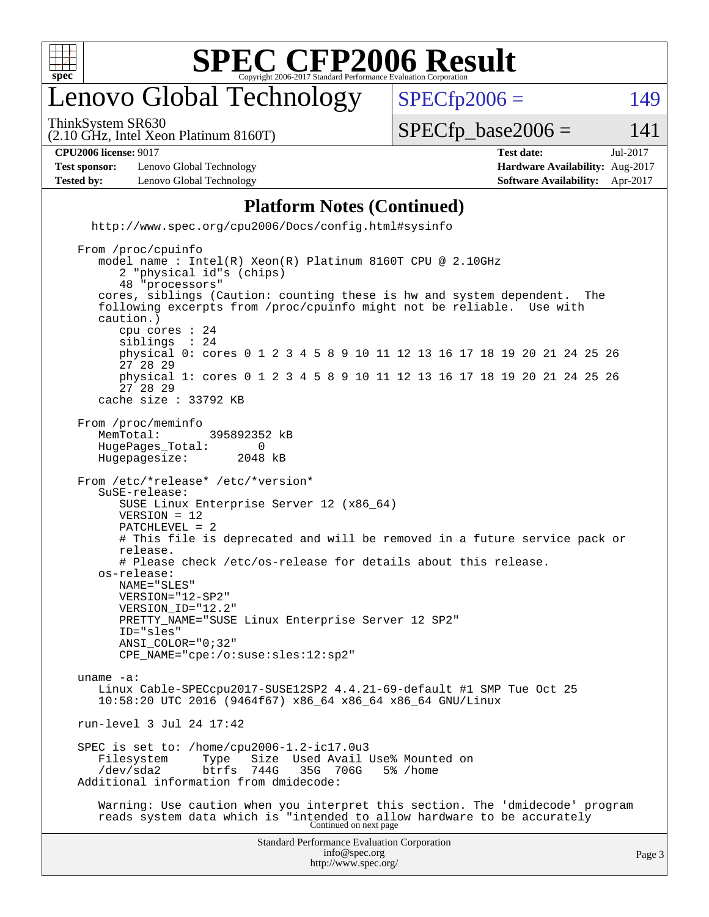

## enovo Global Technology

ThinkSystem SR630

 $SPECTp2006 = 149$ 

(2.10 GHz, Intel Xeon Platinum 8160T)

 $SPECTp\_base2006 = 141$ 

**[CPU2006 license:](http://www.spec.org/auto/cpu2006/Docs/result-fields.html#CPU2006license)** 9017 **[Test date:](http://www.spec.org/auto/cpu2006/Docs/result-fields.html#Testdate)** Jul-2017

**[Test sponsor:](http://www.spec.org/auto/cpu2006/Docs/result-fields.html#Testsponsor)** Lenovo Global Technology **[Hardware Availability:](http://www.spec.org/auto/cpu2006/Docs/result-fields.html#HardwareAvailability)** Aug-2017 **[Tested by:](http://www.spec.org/auto/cpu2006/Docs/result-fields.html#Testedby)** Lenovo Global Technology **[Software Availability:](http://www.spec.org/auto/cpu2006/Docs/result-fields.html#SoftwareAvailability)** Apr-2017

#### **[Platform Notes \(Continued\)](http://www.spec.org/auto/cpu2006/Docs/result-fields.html#PlatformNotes)**

 <http://www.spec.org/cpu2006/Docs/config.html#sysinfo> From /proc/cpuinfo

```
Standard Performance Evaluation Corporation
                                       info@spec.org
                                     http://www.spec.org/
                                                                                         Page 3
    model name : Intel(R) Xeon(R) Platinum 8160T CPU @ 2.10GHz
        2 "physical id"s (chips)
        48 "processors"
     cores, siblings (Caution: counting these is hw and system dependent. The
     following excerpts from /proc/cpuinfo might not be reliable. Use with
     caution.)
        cpu cores : 24
       siblings
        physical 0: cores 0 1 2 3 4 5 8 9 10 11 12 13 16 17 18 19 20 21 24 25 26
        27 28 29
        physical 1: cores 0 1 2 3 4 5 8 9 10 11 12 13 16 17 18 19 20 21 24 25 26
        27 28 29
     cache size : 33792 KB
 From /proc/meminfo
   MemTotal: 395892352 kB<br>HugePages Total: 0
    HugePages_Total: 0
    Hugepagesize: 2048 kB
 From /etc/*release* /etc/*version*
     SuSE-release:
        SUSE Linux Enterprise Server 12 (x86_64)
        VERSION = 12
        PATCHLEVEL = 2
        # This file is deprecated and will be removed in a future service pack or
        release.
        # Please check /etc/os-release for details about this release.
     os-release:
        NAME="SLES"
        VERSION="12-SP2"
        VERSION_ID="12.2"
       PRETTY_NAME="SUSE Linux Enterprise Server 12 SP2"
        ID="sles"
        ANSI_COLOR="0;32"
        CPE_NAME="cpe:/o:suse:sles:12:sp2"
 uname -a:
    Linux Cable-SPECcpu2017-SUSE12SP2 4.4.21-69-default #1 SMP Tue Oct 25
     10:58:20 UTC 2016 (9464f67) x86_64 x86_64 x86_64 GNU/Linux
 run-level 3 Jul 24 17:42
 SPEC is set to: /home/cpu2006-1.2-ic17.0u3
   Filesystem Type Size Used Avail Use% Mounted on<br>
/dev/sda2 btrfs 744G 35G 706G 5% /home
     /dev/sda2 btrfs 744G 35G 706G 5% /home
 Additional information from dmidecode:
     Warning: Use caution when you interpret this section. The 'dmidecode' program
 reads system data which is "intended to allow hardware to be accurately
Continued on next page
```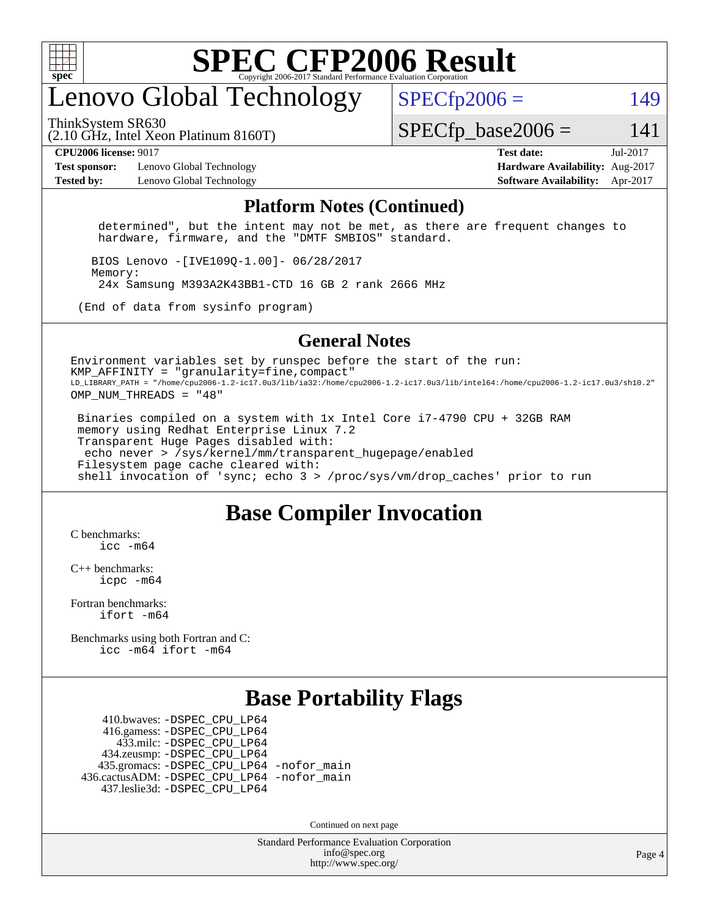

## enovo Global Technology

ThinkSystem SR630

 $SPECfp2006 = 149$  $SPECfp2006 = 149$ 

(2.10 GHz, Intel Xeon Platinum 8160T)

 $SPECTp\_base2006 = 141$ 

#### **[CPU2006 license:](http://www.spec.org/auto/cpu2006/Docs/result-fields.html#CPU2006license)** 9017 **[Test date:](http://www.spec.org/auto/cpu2006/Docs/result-fields.html#Testdate)** Jul-2017

**[Test sponsor:](http://www.spec.org/auto/cpu2006/Docs/result-fields.html#Testsponsor)** Lenovo Global Technology **[Hardware Availability:](http://www.spec.org/auto/cpu2006/Docs/result-fields.html#HardwareAvailability)** Aug-2017 **[Tested by:](http://www.spec.org/auto/cpu2006/Docs/result-fields.html#Testedby)** Lenovo Global Technology **[Software Availability:](http://www.spec.org/auto/cpu2006/Docs/result-fields.html#SoftwareAvailability)** Apr-2017

#### **[Platform Notes \(Continued\)](http://www.spec.org/auto/cpu2006/Docs/result-fields.html#PlatformNotes)**

 determined", but the intent may not be met, as there are frequent changes to hardware, firmware, and the "DMTF SMBIOS" standard.

 BIOS Lenovo -[IVE109Q-1.00]- 06/28/2017 Memory: 24x Samsung M393A2K43BB1-CTD 16 GB 2 rank 2666 MHz

(End of data from sysinfo program)

#### **[General Notes](http://www.spec.org/auto/cpu2006/Docs/result-fields.html#GeneralNotes)**

Environment variables set by runspec before the start of the run:  $KMP$  AFFINITY = "granularity=fine, compact" LD\_LIBRARY\_PATH = "/home/cpu2006-1.2-ic17.0u3/lib/ia32:/home/cpu2006-1.2-ic17.0u3/lib/intel64:/home/cpu2006-1.2-ic17.0u3/sh10.2" OMP\_NUM\_THREADS = "48"

 Binaries compiled on a system with 1x Intel Core i7-4790 CPU + 32GB RAM memory using Redhat Enterprise Linux 7.2 Transparent Huge Pages disabled with: echo never > /sys/kernel/mm/transparent\_hugepage/enabled Filesystem page cache cleared with: shell invocation of 'sync; echo 3 > /proc/sys/vm/drop\_caches' prior to run

### **[Base Compiler Invocation](http://www.spec.org/auto/cpu2006/Docs/result-fields.html#BaseCompilerInvocation)**

[C benchmarks](http://www.spec.org/auto/cpu2006/Docs/result-fields.html#Cbenchmarks): [icc -m64](http://www.spec.org/cpu2006/results/res2017q4/cpu2006-20170918-49573.flags.html#user_CCbase_intel_icc_64bit_bda6cc9af1fdbb0edc3795bac97ada53)

[C++ benchmarks:](http://www.spec.org/auto/cpu2006/Docs/result-fields.html#CXXbenchmarks) [icpc -m64](http://www.spec.org/cpu2006/results/res2017q4/cpu2006-20170918-49573.flags.html#user_CXXbase_intel_icpc_64bit_fc66a5337ce925472a5c54ad6a0de310)

[Fortran benchmarks](http://www.spec.org/auto/cpu2006/Docs/result-fields.html#Fortranbenchmarks): [ifort -m64](http://www.spec.org/cpu2006/results/res2017q4/cpu2006-20170918-49573.flags.html#user_FCbase_intel_ifort_64bit_ee9d0fb25645d0210d97eb0527dcc06e)

[Benchmarks using both Fortran and C](http://www.spec.org/auto/cpu2006/Docs/result-fields.html#BenchmarksusingbothFortranandC): [icc -m64](http://www.spec.org/cpu2006/results/res2017q4/cpu2006-20170918-49573.flags.html#user_CC_FCbase_intel_icc_64bit_bda6cc9af1fdbb0edc3795bac97ada53) [ifort -m64](http://www.spec.org/cpu2006/results/res2017q4/cpu2006-20170918-49573.flags.html#user_CC_FCbase_intel_ifort_64bit_ee9d0fb25645d0210d97eb0527dcc06e)

### **[Base Portability Flags](http://www.spec.org/auto/cpu2006/Docs/result-fields.html#BasePortabilityFlags)**

 410.bwaves: [-DSPEC\\_CPU\\_LP64](http://www.spec.org/cpu2006/results/res2017q4/cpu2006-20170918-49573.flags.html#suite_basePORTABILITY410_bwaves_DSPEC_CPU_LP64) 416.gamess: [-DSPEC\\_CPU\\_LP64](http://www.spec.org/cpu2006/results/res2017q4/cpu2006-20170918-49573.flags.html#suite_basePORTABILITY416_gamess_DSPEC_CPU_LP64) 433.milc: [-DSPEC\\_CPU\\_LP64](http://www.spec.org/cpu2006/results/res2017q4/cpu2006-20170918-49573.flags.html#suite_basePORTABILITY433_milc_DSPEC_CPU_LP64) 434.zeusmp: [-DSPEC\\_CPU\\_LP64](http://www.spec.org/cpu2006/results/res2017q4/cpu2006-20170918-49573.flags.html#suite_basePORTABILITY434_zeusmp_DSPEC_CPU_LP64) 435.gromacs: [-DSPEC\\_CPU\\_LP64](http://www.spec.org/cpu2006/results/res2017q4/cpu2006-20170918-49573.flags.html#suite_basePORTABILITY435_gromacs_DSPEC_CPU_LP64) [-nofor\\_main](http://www.spec.org/cpu2006/results/res2017q4/cpu2006-20170918-49573.flags.html#user_baseLDPORTABILITY435_gromacs_f-nofor_main) 436.cactusADM: [-DSPEC\\_CPU\\_LP64](http://www.spec.org/cpu2006/results/res2017q4/cpu2006-20170918-49573.flags.html#suite_basePORTABILITY436_cactusADM_DSPEC_CPU_LP64) [-nofor\\_main](http://www.spec.org/cpu2006/results/res2017q4/cpu2006-20170918-49573.flags.html#user_baseLDPORTABILITY436_cactusADM_f-nofor_main) 437.leslie3d: [-DSPEC\\_CPU\\_LP64](http://www.spec.org/cpu2006/results/res2017q4/cpu2006-20170918-49573.flags.html#suite_basePORTABILITY437_leslie3d_DSPEC_CPU_LP64)

Continued on next page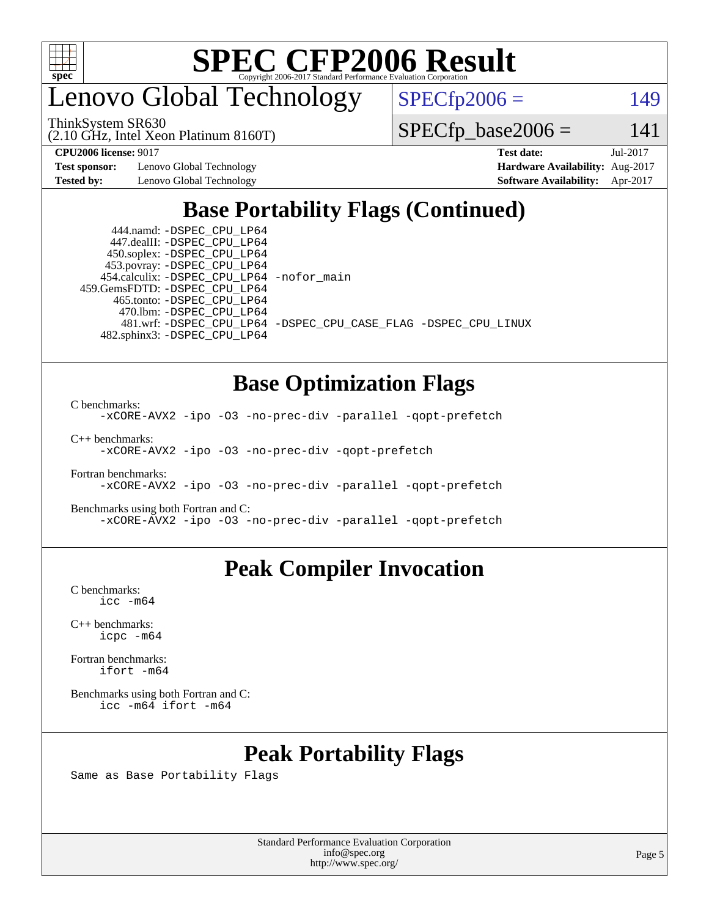

enovo Global Technology

ThinkSystem SR630

 $SPECfp2006 = 149$  $SPECfp2006 = 149$ 

(2.10 GHz, Intel Xeon Platinum 8160T)

 $SPECTp\_base2006 = 141$ 

**[Test sponsor:](http://www.spec.org/auto/cpu2006/Docs/result-fields.html#Testsponsor)** Lenovo Global Technology **[Hardware Availability:](http://www.spec.org/auto/cpu2006/Docs/result-fields.html#HardwareAvailability)** Aug-2017

**[CPU2006 license:](http://www.spec.org/auto/cpu2006/Docs/result-fields.html#CPU2006license)** 9017 **[Test date:](http://www.spec.org/auto/cpu2006/Docs/result-fields.html#Testdate)** Jul-2017 **[Tested by:](http://www.spec.org/auto/cpu2006/Docs/result-fields.html#Testedby)** Lenovo Global Technology **[Software Availability:](http://www.spec.org/auto/cpu2006/Docs/result-fields.html#SoftwareAvailability)** Apr-2017

## **[Base Portability Flags \(Continued\)](http://www.spec.org/auto/cpu2006/Docs/result-fields.html#BasePortabilityFlags)**

 444.namd: [-DSPEC\\_CPU\\_LP64](http://www.spec.org/cpu2006/results/res2017q4/cpu2006-20170918-49573.flags.html#suite_basePORTABILITY444_namd_DSPEC_CPU_LP64) 447.dealII: [-DSPEC\\_CPU\\_LP64](http://www.spec.org/cpu2006/results/res2017q4/cpu2006-20170918-49573.flags.html#suite_basePORTABILITY447_dealII_DSPEC_CPU_LP64) 450.soplex: [-DSPEC\\_CPU\\_LP64](http://www.spec.org/cpu2006/results/res2017q4/cpu2006-20170918-49573.flags.html#suite_basePORTABILITY450_soplex_DSPEC_CPU_LP64) 453.povray: [-DSPEC\\_CPU\\_LP64](http://www.spec.org/cpu2006/results/res2017q4/cpu2006-20170918-49573.flags.html#suite_basePORTABILITY453_povray_DSPEC_CPU_LP64) 454.calculix: [-DSPEC\\_CPU\\_LP64](http://www.spec.org/cpu2006/results/res2017q4/cpu2006-20170918-49573.flags.html#suite_basePORTABILITY454_calculix_DSPEC_CPU_LP64) [-nofor\\_main](http://www.spec.org/cpu2006/results/res2017q4/cpu2006-20170918-49573.flags.html#user_baseLDPORTABILITY454_calculix_f-nofor_main) 459.GemsFDTD: [-DSPEC\\_CPU\\_LP64](http://www.spec.org/cpu2006/results/res2017q4/cpu2006-20170918-49573.flags.html#suite_basePORTABILITY459_GemsFDTD_DSPEC_CPU_LP64) 465.tonto: [-DSPEC\\_CPU\\_LP64](http://www.spec.org/cpu2006/results/res2017q4/cpu2006-20170918-49573.flags.html#suite_basePORTABILITY465_tonto_DSPEC_CPU_LP64) 470.lbm: [-DSPEC\\_CPU\\_LP64](http://www.spec.org/cpu2006/results/res2017q4/cpu2006-20170918-49573.flags.html#suite_basePORTABILITY470_lbm_DSPEC_CPU_LP64) 482.sphinx3: [-DSPEC\\_CPU\\_LP64](http://www.spec.org/cpu2006/results/res2017q4/cpu2006-20170918-49573.flags.html#suite_basePORTABILITY482_sphinx3_DSPEC_CPU_LP64)

481.wrf: [-DSPEC\\_CPU\\_LP64](http://www.spec.org/cpu2006/results/res2017q4/cpu2006-20170918-49573.flags.html#suite_basePORTABILITY481_wrf_DSPEC_CPU_LP64) [-DSPEC\\_CPU\\_CASE\\_FLAG](http://www.spec.org/cpu2006/results/res2017q4/cpu2006-20170918-49573.flags.html#b481.wrf_baseCPORTABILITY_DSPEC_CPU_CASE_FLAG) [-DSPEC\\_CPU\\_LINUX](http://www.spec.org/cpu2006/results/res2017q4/cpu2006-20170918-49573.flags.html#b481.wrf_baseCPORTABILITY_DSPEC_CPU_LINUX)

### **[Base Optimization Flags](http://www.spec.org/auto/cpu2006/Docs/result-fields.html#BaseOptimizationFlags)**

[C benchmarks](http://www.spec.org/auto/cpu2006/Docs/result-fields.html#Cbenchmarks):

[-xCORE-AVX2](http://www.spec.org/cpu2006/results/res2017q4/cpu2006-20170918-49573.flags.html#user_CCbase_f-xCORE-AVX2) [-ipo](http://www.spec.org/cpu2006/results/res2017q4/cpu2006-20170918-49573.flags.html#user_CCbase_f-ipo) [-O3](http://www.spec.org/cpu2006/results/res2017q4/cpu2006-20170918-49573.flags.html#user_CCbase_f-O3) [-no-prec-div](http://www.spec.org/cpu2006/results/res2017q4/cpu2006-20170918-49573.flags.html#user_CCbase_f-no-prec-div) [-parallel](http://www.spec.org/cpu2006/results/res2017q4/cpu2006-20170918-49573.flags.html#user_CCbase_f-parallel) [-qopt-prefetch](http://www.spec.org/cpu2006/results/res2017q4/cpu2006-20170918-49573.flags.html#user_CCbase_f-qopt-prefetch)

[C++ benchmarks:](http://www.spec.org/auto/cpu2006/Docs/result-fields.html#CXXbenchmarks) [-xCORE-AVX2](http://www.spec.org/cpu2006/results/res2017q4/cpu2006-20170918-49573.flags.html#user_CXXbase_f-xCORE-AVX2) [-ipo](http://www.spec.org/cpu2006/results/res2017q4/cpu2006-20170918-49573.flags.html#user_CXXbase_f-ipo) [-O3](http://www.spec.org/cpu2006/results/res2017q4/cpu2006-20170918-49573.flags.html#user_CXXbase_f-O3) [-no-prec-div](http://www.spec.org/cpu2006/results/res2017q4/cpu2006-20170918-49573.flags.html#user_CXXbase_f-no-prec-div) [-qopt-prefetch](http://www.spec.org/cpu2006/results/res2017q4/cpu2006-20170918-49573.flags.html#user_CXXbase_f-qopt-prefetch)

[Fortran benchmarks](http://www.spec.org/auto/cpu2006/Docs/result-fields.html#Fortranbenchmarks): [-xCORE-AVX2](http://www.spec.org/cpu2006/results/res2017q4/cpu2006-20170918-49573.flags.html#user_FCbase_f-xCORE-AVX2) [-ipo](http://www.spec.org/cpu2006/results/res2017q4/cpu2006-20170918-49573.flags.html#user_FCbase_f-ipo) [-O3](http://www.spec.org/cpu2006/results/res2017q4/cpu2006-20170918-49573.flags.html#user_FCbase_f-O3) [-no-prec-div](http://www.spec.org/cpu2006/results/res2017q4/cpu2006-20170918-49573.flags.html#user_FCbase_f-no-prec-div) [-parallel](http://www.spec.org/cpu2006/results/res2017q4/cpu2006-20170918-49573.flags.html#user_FCbase_f-parallel) [-qopt-prefetch](http://www.spec.org/cpu2006/results/res2017q4/cpu2006-20170918-49573.flags.html#user_FCbase_f-qopt-prefetch)

[Benchmarks using both Fortran and C](http://www.spec.org/auto/cpu2006/Docs/result-fields.html#BenchmarksusingbothFortranandC): [-xCORE-AVX2](http://www.spec.org/cpu2006/results/res2017q4/cpu2006-20170918-49573.flags.html#user_CC_FCbase_f-xCORE-AVX2) [-ipo](http://www.spec.org/cpu2006/results/res2017q4/cpu2006-20170918-49573.flags.html#user_CC_FCbase_f-ipo) [-O3](http://www.spec.org/cpu2006/results/res2017q4/cpu2006-20170918-49573.flags.html#user_CC_FCbase_f-O3) [-no-prec-div](http://www.spec.org/cpu2006/results/res2017q4/cpu2006-20170918-49573.flags.html#user_CC_FCbase_f-no-prec-div) [-parallel](http://www.spec.org/cpu2006/results/res2017q4/cpu2006-20170918-49573.flags.html#user_CC_FCbase_f-parallel) [-qopt-prefetch](http://www.spec.org/cpu2006/results/res2017q4/cpu2006-20170918-49573.flags.html#user_CC_FCbase_f-qopt-prefetch)

### **[Peak Compiler Invocation](http://www.spec.org/auto/cpu2006/Docs/result-fields.html#PeakCompilerInvocation)**

[C benchmarks](http://www.spec.org/auto/cpu2006/Docs/result-fields.html#Cbenchmarks): [icc -m64](http://www.spec.org/cpu2006/results/res2017q4/cpu2006-20170918-49573.flags.html#user_CCpeak_intel_icc_64bit_bda6cc9af1fdbb0edc3795bac97ada53)

[C++ benchmarks:](http://www.spec.org/auto/cpu2006/Docs/result-fields.html#CXXbenchmarks) [icpc -m64](http://www.spec.org/cpu2006/results/res2017q4/cpu2006-20170918-49573.flags.html#user_CXXpeak_intel_icpc_64bit_fc66a5337ce925472a5c54ad6a0de310)

[Fortran benchmarks](http://www.spec.org/auto/cpu2006/Docs/result-fields.html#Fortranbenchmarks): [ifort -m64](http://www.spec.org/cpu2006/results/res2017q4/cpu2006-20170918-49573.flags.html#user_FCpeak_intel_ifort_64bit_ee9d0fb25645d0210d97eb0527dcc06e)

[Benchmarks using both Fortran and C](http://www.spec.org/auto/cpu2006/Docs/result-fields.html#BenchmarksusingbothFortranandC): [icc -m64](http://www.spec.org/cpu2006/results/res2017q4/cpu2006-20170918-49573.flags.html#user_CC_FCpeak_intel_icc_64bit_bda6cc9af1fdbb0edc3795bac97ada53) [ifort -m64](http://www.spec.org/cpu2006/results/res2017q4/cpu2006-20170918-49573.flags.html#user_CC_FCpeak_intel_ifort_64bit_ee9d0fb25645d0210d97eb0527dcc06e)

## **[Peak Portability Flags](http://www.spec.org/auto/cpu2006/Docs/result-fields.html#PeakPortabilityFlags)**

Same as Base Portability Flags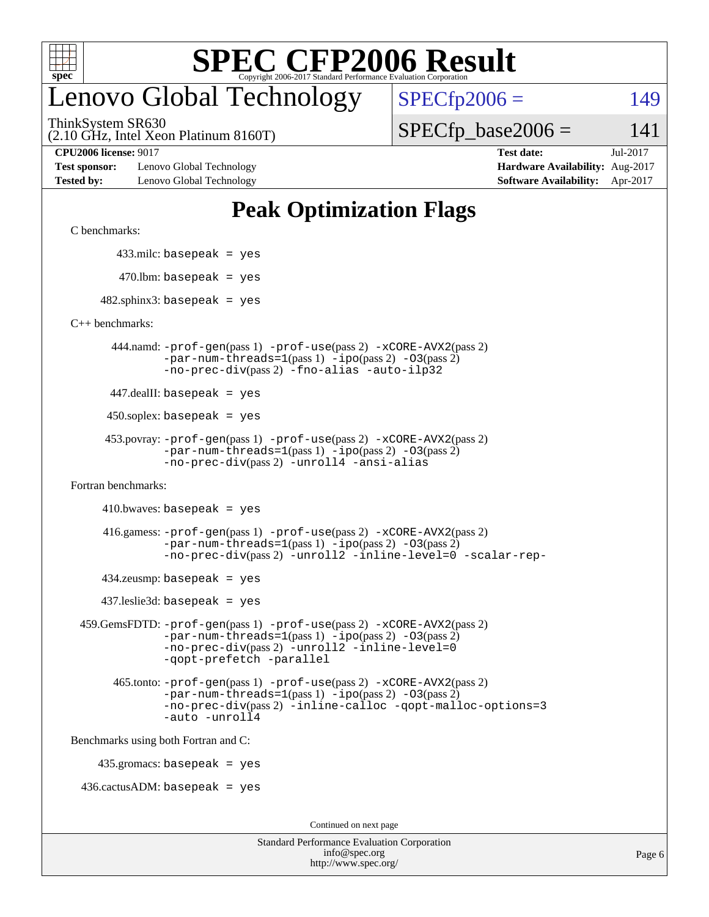

## enovo Global Technology

ThinkSystem SR630

 $SPECfp2006 = 149$  $SPECfp2006 = 149$ 

(2.10 GHz, Intel Xeon Platinum 8160T)

 $SPECTp\_base2006 = 141$ 

**[Test sponsor:](http://www.spec.org/auto/cpu2006/Docs/result-fields.html#Testsponsor)** Lenovo Global Technology **[Hardware Availability:](http://www.spec.org/auto/cpu2006/Docs/result-fields.html#HardwareAvailability)** Aug-2017 **[Tested by:](http://www.spec.org/auto/cpu2006/Docs/result-fields.html#Testedby)** Lenovo Global Technology **[Software Availability:](http://www.spec.org/auto/cpu2006/Docs/result-fields.html#SoftwareAvailability)** Apr-2017

**[CPU2006 license:](http://www.spec.org/auto/cpu2006/Docs/result-fields.html#CPU2006license)** 9017 **[Test date:](http://www.spec.org/auto/cpu2006/Docs/result-fields.html#Testdate)** Jul-2017

## **[Peak Optimization Flags](http://www.spec.org/auto/cpu2006/Docs/result-fields.html#PeakOptimizationFlags)**

[C benchmarks](http://www.spec.org/auto/cpu2006/Docs/result-fields.html#Cbenchmarks):

433.milc: basepeak = yes

 $470$ .lbm: basepeak = yes

 $482$ .sphinx3: basepeak = yes

[C++ benchmarks:](http://www.spec.org/auto/cpu2006/Docs/result-fields.html#CXXbenchmarks)

 444.namd: [-prof-gen](http://www.spec.org/cpu2006/results/res2017q4/cpu2006-20170918-49573.flags.html#user_peakPASS1_CXXFLAGSPASS1_LDFLAGS444_namd_prof_gen_e43856698f6ca7b7e442dfd80e94a8fc)(pass 1) [-prof-use](http://www.spec.org/cpu2006/results/res2017q4/cpu2006-20170918-49573.flags.html#user_peakPASS2_CXXFLAGSPASS2_LDFLAGS444_namd_prof_use_bccf7792157ff70d64e32fe3e1250b55)(pass 2) [-xCORE-AVX2](http://www.spec.org/cpu2006/results/res2017q4/cpu2006-20170918-49573.flags.html#user_peakPASS2_CXXFLAGSPASS2_LDFLAGS444_namd_f-xCORE-AVX2)(pass 2)  $-par-num-threads=1(pass 1) -ipo(pass 2) -O3(pass 2)$  $-par-num-threads=1(pass 1) -ipo(pass 2) -O3(pass 2)$  $-par-num-threads=1(pass 1) -ipo(pass 2) -O3(pass 2)$  $-par-num-threads=1(pass 1) -ipo(pass 2) -O3(pass 2)$  $-par-num-threads=1(pass 1) -ipo(pass 2) -O3(pass 2)$  $-par-num-threads=1(pass 1) -ipo(pass 2) -O3(pass 2)$ [-no-prec-div](http://www.spec.org/cpu2006/results/res2017q4/cpu2006-20170918-49573.flags.html#user_peakPASS2_CXXFLAGSPASS2_LDFLAGS444_namd_f-no-prec-div)(pass 2) [-fno-alias](http://www.spec.org/cpu2006/results/res2017q4/cpu2006-20170918-49573.flags.html#user_peakCXXOPTIMIZEOPTIMIZE444_namd_f-no-alias_694e77f6c5a51e658e82ccff53a9e63a) [-auto-ilp32](http://www.spec.org/cpu2006/results/res2017q4/cpu2006-20170918-49573.flags.html#user_peakCXXOPTIMIZE444_namd_f-auto-ilp32)

447.dealII: basepeak = yes

 $450$ .soplex: basepeak = yes

```
 453.povray: -prof-gen(pass 1) -prof-use(pass 2) -xCORE-AVX2(pass 2)
         -par-num-threads=1-ipo-O3(pass 2)-no-prec-div(pass 2) -unroll4 -ansi-alias
```
[Fortran benchmarks](http://www.spec.org/auto/cpu2006/Docs/result-fields.html#Fortranbenchmarks):

 $410.bwaves: basepeak = yes$ 

 416.gamess: [-prof-gen](http://www.spec.org/cpu2006/results/res2017q4/cpu2006-20170918-49573.flags.html#user_peakPASS1_FFLAGSPASS1_LDFLAGS416_gamess_prof_gen_e43856698f6ca7b7e442dfd80e94a8fc)(pass 1) [-prof-use](http://www.spec.org/cpu2006/results/res2017q4/cpu2006-20170918-49573.flags.html#user_peakPASS2_FFLAGSPASS2_LDFLAGS416_gamess_prof_use_bccf7792157ff70d64e32fe3e1250b55)(pass 2) [-xCORE-AVX2](http://www.spec.org/cpu2006/results/res2017q4/cpu2006-20170918-49573.flags.html#user_peakPASS2_FFLAGSPASS2_LDFLAGS416_gamess_f-xCORE-AVX2)(pass 2)  $-par-num-threads=1(pass 1) -ipo(pass 2) -O3(pass 2)$  $-par-num-threads=1(pass 1) -ipo(pass 2) -O3(pass 2)$  $-par-num-threads=1(pass 1) -ipo(pass 2) -O3(pass 2)$  $-par-num-threads=1(pass 1) -ipo(pass 2) -O3(pass 2)$  $-par-num-threads=1(pass 1) -ipo(pass 2) -O3(pass 2)$  $-par-num-threads=1(pass 1) -ipo(pass 2) -O3(pass 2)$ [-no-prec-div](http://www.spec.org/cpu2006/results/res2017q4/cpu2006-20170918-49573.flags.html#user_peakPASS2_FFLAGSPASS2_LDFLAGS416_gamess_f-no-prec-div)(pass 2) [-unroll2](http://www.spec.org/cpu2006/results/res2017q4/cpu2006-20170918-49573.flags.html#user_peakOPTIMIZE416_gamess_f-unroll_784dae83bebfb236979b41d2422d7ec2) [-inline-level=0](http://www.spec.org/cpu2006/results/res2017q4/cpu2006-20170918-49573.flags.html#user_peakOPTIMIZE416_gamess_f-inline-level_318d07a09274ad25e8d15dbfaa68ba50) [-scalar-rep-](http://www.spec.org/cpu2006/results/res2017q4/cpu2006-20170918-49573.flags.html#user_peakOPTIMIZE416_gamess_f-disablescalarrep_abbcad04450fb118e4809c81d83c8a1d)

 $434$ .zeusmp: basepeak = yes

437.leslie3d: basepeak = yes

```
 459.GemsFDTD: -prof-gen(pass 1) -prof-use(pass 2) -xCORE-AVX2(pass 2)
            -par-num-threads=1-ipo-O3(pass 2)-no-prec-div(pass 2) -unroll2 -inline-level=0
            -qopt-prefetch -parallel
```
 465.tonto: [-prof-gen](http://www.spec.org/cpu2006/results/res2017q4/cpu2006-20170918-49573.flags.html#user_peakPASS1_FFLAGSPASS1_LDFLAGS465_tonto_prof_gen_e43856698f6ca7b7e442dfd80e94a8fc)(pass 1) [-prof-use](http://www.spec.org/cpu2006/results/res2017q4/cpu2006-20170918-49573.flags.html#user_peakPASS2_FFLAGSPASS2_LDFLAGS465_tonto_prof_use_bccf7792157ff70d64e32fe3e1250b55)(pass 2) [-xCORE-AVX2](http://www.spec.org/cpu2006/results/res2017q4/cpu2006-20170918-49573.flags.html#user_peakPASS2_FFLAGSPASS2_LDFLAGS465_tonto_f-xCORE-AVX2)(pass 2)  $-par-num-threads=1(pass 1) -ipo(pass 2) -O3(pass 2)$  $-par-num-threads=1(pass 1) -ipo(pass 2) -O3(pass 2)$  $-par-num-threads=1(pass 1) -ipo(pass 2) -O3(pass 2)$  $-par-num-threads=1(pass 1) -ipo(pass 2) -O3(pass 2)$  $-par-num-threads=1(pass 1) -ipo(pass 2) -O3(pass 2)$  $-par-num-threads=1(pass 1) -ipo(pass 2) -O3(pass 2)$ [-no-prec-div](http://www.spec.org/cpu2006/results/res2017q4/cpu2006-20170918-49573.flags.html#user_peakPASS2_FFLAGSPASS2_LDFLAGS465_tonto_f-no-prec-div)(pass 2) [-inline-calloc](http://www.spec.org/cpu2006/results/res2017q4/cpu2006-20170918-49573.flags.html#user_peakOPTIMIZE465_tonto_f-inline-calloc) [-qopt-malloc-options=3](http://www.spec.org/cpu2006/results/res2017q4/cpu2006-20170918-49573.flags.html#user_peakOPTIMIZE465_tonto_f-qopt-malloc-options_0fcb435012e78f27d57f473818e45fe4) [-auto](http://www.spec.org/cpu2006/results/res2017q4/cpu2006-20170918-49573.flags.html#user_peakOPTIMIZE465_tonto_f-auto) [-unroll4](http://www.spec.org/cpu2006/results/res2017q4/cpu2006-20170918-49573.flags.html#user_peakOPTIMIZE465_tonto_f-unroll_4e5e4ed65b7fd20bdcd365bec371b81f)

[Benchmarks using both Fortran and C](http://www.spec.org/auto/cpu2006/Docs/result-fields.html#BenchmarksusingbothFortranandC):

435.gromacs: basepeak = yes

 $436.cactusADM:basepeak = yes$ 

Continued on next page

| <b>Standard Performance Evaluation Corporation</b> |
|----------------------------------------------------|
| info@spec.org                                      |
| http://www.spec.org/                               |